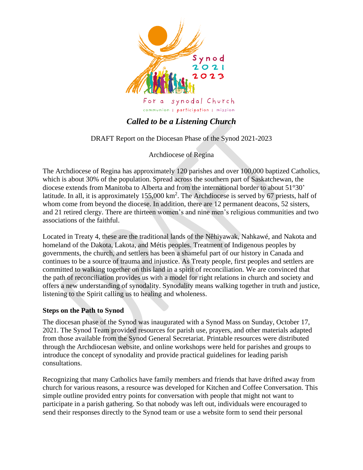

# *Called to be a Listening Church*

DRAFT Report on the Diocesan Phase of the Synod 2021-2023

Archdiocese of Regina

The Archdiocese of Regina has approximately 120 parishes and over 100,000 baptized Catholics, which is about 30% of the population. Spread across the southern part of Saskatchewan, the diocese extends from Manitoba to Alberta and from the international border to about 51°30' latitude. In all, it is approximately 155,000 km<sup>2</sup>. The Archdiocese is served by 67 priests, half of whom come from beyond the diocese. In addition, there are 12 permanent deacons, 52 sisters, and 21 retired clergy. There are thirteen women's and nine men's religious communities and two associations of the faithful.

Located in Treaty 4, these are the traditional lands of the Nêhiyawak, Nahkawé, and Nakota and homeland of the Dakota, Lakota, and Métis peoples. Treatment of Indigenous peoples by governments, the church, and settlers has been a shameful part of our history in Canada and continues to be a source of trauma and injustice. As Treaty people, first peoples and settlers are committed to walking together on this land in a spirit of reconciliation. We are convinced that the path of reconciliation provides us with a model for right relations in church and society and offers a new understanding of synodality. Synodality means walking together in truth and justice, listening to the Spirit calling us to healing and wholeness.

## **Steps on the Path to Synod**

The diocesan phase of the Synod was inaugurated with a Synod Mass on Sunday, October 17, 2021. The Synod Team provided resources for parish use, prayers, and other materials adapted from those available from the Synod General Secretariat. Printable resources were distributed through the Archdiocesan website, and online workshops were held for parishes and groups to introduce the concept of synodality and provide practical guidelines for leading parish consultations.

Recognizing that many Catholics have family members and friends that have drifted away from church for various reasons, a resource was developed for Kitchen and Coffee Conversation. This simple outline provided entry points for conversation with people that might not want to participate in a parish gathering. So that nobody was left out, individuals were encouraged to send their responses directly to the Synod team or use a website form to send their personal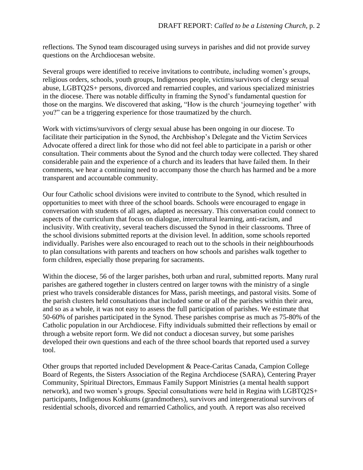reflections. The Synod team discouraged using surveys in parishes and did not provide survey questions on the Archdiocesan website.

Several groups were identified to receive invitations to contribute, including women's groups, religious orders, schools, youth groups, Indigenous people, victims/survivors of clergy sexual abuse, LGBTQ2S+ persons, divorced and remarried couples, and various specialized ministries in the diocese. There was notable difficulty in framing the Synod's fundamental question for those on the margins. We discovered that asking, "How is the church 'journeying together' with you?" can be a triggering experience for those traumatized by the church.

Work with victims/survivors of clergy sexual abuse has been ongoing in our diocese. To facilitate their participation in the Synod, the Archbishop's Delegate and the Victim Services Advocate offered a direct link for those who did not feel able to participate in a parish or other consultation. Their comments about the Synod and the church today were collected. They shared considerable pain and the experience of a church and its leaders that have failed them. In their comments, we hear a continuing need to accompany those the church has harmed and be a more transparent and accountable community.

Our four Catholic school divisions were invited to contribute to the Synod, which resulted in opportunities to meet with three of the school boards. Schools were encouraged to engage in conversation with students of all ages, adapted as necessary. This conversation could connect to aspects of the curriculum that focus on dialogue, intercultural learning, anti-racism, and inclusivity. With creativity, several teachers discussed the Synod in their classrooms. Three of the school divisions submitted reports at the division level. In addition, some schools reported individually. Parishes were also encouraged to reach out to the schools in their neighbourhoods to plan consultations with parents and teachers on how schools and parishes walk together to form children, especially those preparing for sacraments.

Within the diocese, 56 of the larger parishes, both urban and rural, submitted reports. Many rural parishes are gathered together in clusters centred on larger towns with the ministry of a single priest who travels considerable distances for Mass, parish meetings, and pastoral visits. Some of the parish clusters held consultations that included some or all of the parishes within their area, and so as a whole, it was not easy to assess the full participation of parishes. We estimate that 50-60% of parishes participated in the Synod. These parishes comprise as much as 75-80% of the Catholic population in our Archdiocese. Fifty individuals submitted their reflections by email or through a website report form. We did not conduct a diocesan survey, but some parishes developed their own questions and each of the three school boards that reported used a survey tool.

Other groups that reported included Development & Peace-Caritas Canada, Campion College Board of Regents, the Sisters Association of the Regina Archdiocese (SARA), Centering Prayer Community, Spiritual Directors, Emmaus Family Support Ministries (a mental health support network), and two women's groups. Special consultations were held in Regina with LGBTQ2S+ participants, Indigenous Kohkums (grandmothers), survivors and intergenerational survivors of residential schools, divorced and remarried Catholics, and youth. A report was also received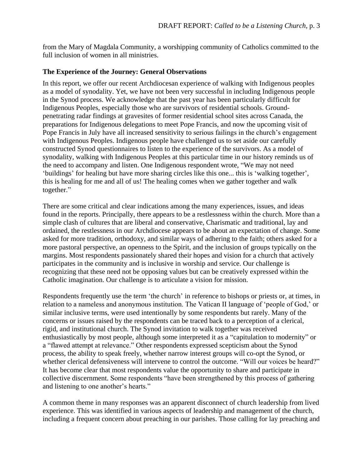from the Mary of Magdala Community, a worshipping community of Catholics committed to the full inclusion of women in all ministries.

#### **The Experience of the Journey: General Observations**

In this report, we offer our recent Archdiocesan experience of walking with Indigenous peoples as a model of synodality. Yet, we have not been very successful in including Indigenous people in the Synod process. We acknowledge that the past year has been particularly difficult for Indigenous Peoples, especially those who are survivors of residential schools. Groundpenetrating radar findings at gravesites of former residential school sites across Canada, the preparations for Indigenous delegations to meet Pope Francis, and now the upcoming visit of Pope Francis in July have all increased sensitivity to serious failings in the church's engagement with Indigenous Peoples. Indigenous people have challenged us to set aside our carefully constructed Synod questionnaires to listen to the experience of the survivors. As a model of synodality, walking with Indigenous Peoples at this particular time in our history reminds us of the need to accompany and listen. One Indigenous respondent wrote, "We may not need 'buildings' for healing but have more sharing circles like this one... this is 'walking together', this is healing for me and all of us! The healing comes when we gather together and walk together."

There are some critical and clear indications among the many experiences, issues, and ideas found in the reports. Principally, there appears to be a restlessness within the church. More than a simple clash of cultures that are liberal and conservative, Charismatic and traditional, lay and ordained, the restlessness in our Archdiocese appears to be about an expectation of change. Some asked for more tradition, orthodoxy, and similar ways of adhering to the faith; others asked for a more pastoral perspective, an openness to the Spirit, and the inclusion of groups typically on the margins. Most respondents passionately shared their hopes and vision for a church that actively participates in the community and is inclusive in worship and service. Our challenge is recognizing that these need not be opposing values but can be creatively expressed within the Catholic imagination. Our challenge is to articulate a vision for mission.

Respondents frequently use the term 'the church' in reference to bishops or priests or, at times, in relation to a nameless and anonymous institution. The Vatican II language of 'people of God,' or similar inclusive terms, were used intentionally by some respondents but rarely. Many of the concerns or issues raised by the respondents can be traced back to a perception of a clerical, rigid, and institutional church. The Synod invitation to walk together was received enthusiastically by most people, although some interpreted it as a "capitulation to modernity" or a "flawed attempt at relevance." Other respondents expressed scepticism about the Synod process, the ability to speak freely, whether narrow interest groups will co-opt the Synod, or whether clerical defensiveness will intervene to control the outcome. "Will our voices be heard?" It has become clear that most respondents value the opportunity to share and participate in collective discernment. Some respondents "have been strengthened by this process of gathering and listening to one another's hearts."

A common theme in many responses was an apparent disconnect of church leadership from lived experience. This was identified in various aspects of leadership and management of the church, including a frequent concern about preaching in our parishes. Those calling for lay preaching and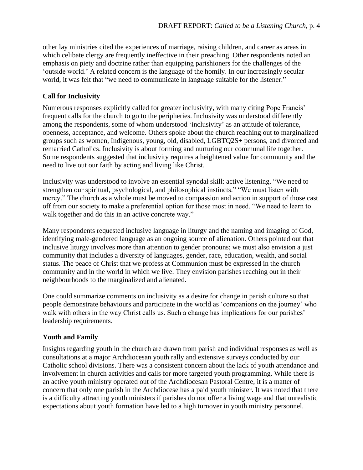other lay ministries cited the experiences of marriage, raising children, and career as areas in which celibate clergy are frequently ineffective in their preaching. Other respondents noted an emphasis on piety and doctrine rather than equipping parishioners for the challenges of the 'outside world.' A related concern is the language of the homily. In our increasingly secular world, it was felt that "we need to communicate in language suitable for the listener."

## **Call for Inclusivity**

Numerous responses explicitly called for greater inclusivity, with many citing Pope Francis' frequent calls for the church to go to the peripheries. Inclusivity was understood differently among the respondents, some of whom understood 'inclusivity' as an attitude of tolerance, openness, acceptance, and welcome. Others spoke about the church reaching out to marginalized groups such as women, Indigenous, young, old, disabled, LGBTQ2S+ persons, and divorced and remarried Catholics. Inclusivity is about forming and nurturing our communal life together. Some respondents suggested that inclusivity requires a heightened value for community and the need to live out our faith by acting and living like Christ.

Inclusivity was understood to involve an essential synodal skill: active listening. "We need to strengthen our spiritual, psychological, and philosophical instincts." "We must listen with mercy." The church as a whole must be moved to compassion and action in support of those cast off from our society to make a preferential option for those most in need. "We need to learn to walk together and do this in an active concrete way."

Many respondents requested inclusive language in liturgy and the naming and imaging of God, identifying male-gendered language as an ongoing source of alienation. Others pointed out that inclusive liturgy involves more than attention to gender pronouns; we must also envision a just community that includes a diversity of languages, gender, race, education, wealth, and social status. The peace of Christ that we profess at Communion must be expressed in the church community and in the world in which we live. They envision parishes reaching out in their neighbourhoods to the marginalized and alienated.

One could summarize comments on inclusivity as a desire for change in parish culture so that people demonstrate behaviours and participate in the world as 'companions on the journey' who walk with others in the way Christ calls us. Such a change has implications for our parishes' leadership requirements.

## **Youth and Family**

Insights regarding youth in the church are drawn from parish and individual responses as well as consultations at a major Archdiocesan youth rally and extensive surveys conducted by our Catholic school divisions. There was a consistent concern about the lack of youth attendance and involvement in church activities and calls for more targeted youth programming. While there is an active youth ministry operated out of the Archdiocesan Pastoral Centre, it is a matter of concern that only one parish in the Archdiocese has a paid youth minister. It was noted that there is a difficulty attracting youth ministers if parishes do not offer a living wage and that unrealistic expectations about youth formation have led to a high turnover in youth ministry personnel.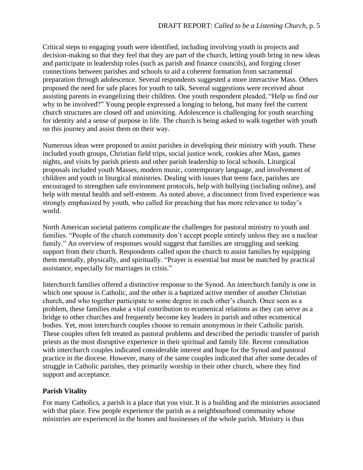Critical steps to engaging youth were identified, including involving youth in projects and decision-making so that they feel that they are part of the church, letting youth bring in new ideas and participate in leadership roles (such as parish and finance councils), and forging closer connections between parishes and schools to aid a coherent formation from sacramental preparation through adolescence. Several respondents suggested a more interactive Mass. Others proposed the need for safe places for youth to talk. Several suggestions were received about assisting parents in evangelizing their children. One youth respondent pleaded, "Help us find our why to be involved?" Young people expressed a longing to belong, but many feel the current church structures are closed off and uninviting. Adolescence is challenging for youth searching for identity and a sense of purpose in life. The church is being asked to walk together with youth on this journey and assist them on their way.

Numerous ideas were proposed to assist parishes in developing their ministry with youth. These included youth groups, Christian field trips, social justice work, cookies after Mass, games nights, and visits by parish priests and other parish leadership to local schools. Liturgical proposals included youth Masses, modern music, contemporary language, and involvement of children and youth in liturgical ministries. Dealing with issues that teens face, parishes are encouraged to strengthen safe environment protocols, help with bullying (including online), and help with mental health and self-esteem. As noted above, a disconnect from lived experience was strongly emphasized by youth, who called for preaching that has more relevance to today's world.

North American societal patterns complicate the challenges for pastoral ministry to youth and families. "People of the church community don't accept people entirely unless they are a nuclear family." An overview of responses would suggest that families are struggling and seeking support from their church. Respondents called upon the church to assist families by equipping them mentally, physically, and spiritually. "Prayer is essential but must be matched by practical assistance, especially for marriages in crisis."

Interchurch families offered a distinctive response to the Synod. An interchurch family is one in which one spouse is Catholic, and the other is a baptized active member of another Christian church, and who together participate to some degree in each other's church. Once seen as a problem, these families make a vital contribution to ecumenical relations as they can serve as a bridge to other churches and frequently become key leaders in parish and other ecumenical bodies. Yet, most interchurch couples choose to remain anonymous in their Catholic parish. These couples often felt treated as pastoral problems and described the periodic transfer of parish priests as the most disruptive experience in their spiritual and family life. Recent consultation with interchurch couples indicated considerable interest and hope for the Synod and pastoral practice in the diocese. However, many of the same couples indicated that after some decades of struggle in Catholic parishes, they primarily worship in their other church, where they find support and acceptance.

#### **Parish Vitality**

For many Catholics, a parish is a place that you visit. It is a building and the ministries associated with that place. Few people experience the parish as a neighbourhood community whose ministries are experienced in the homes and businesses of the whole parish. Ministry is thus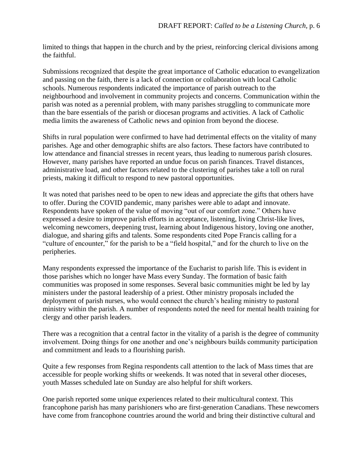limited to things that happen in the church and by the priest, reinforcing clerical divisions among the faithful.

Submissions recognized that despite the great importance of Catholic education to evangelization and passing on the faith, there is a lack of connection or collaboration with local Catholic schools. Numerous respondents indicated the importance of parish outreach to the neighbourhood and involvement in community projects and concerns. Communication within the parish was noted as a perennial problem, with many parishes struggling to communicate more than the bare essentials of the parish or diocesan programs and activities. A lack of Catholic media limits the awareness of Catholic news and opinion from beyond the diocese.

Shifts in rural population were confirmed to have had detrimental effects on the vitality of many parishes. Age and other demographic shifts are also factors. These factors have contributed to low attendance and financial stresses in recent years, thus leading to numerous parish closures. However, many parishes have reported an undue focus on parish finances. Travel distances, administrative load, and other factors related to the clustering of parishes take a toll on rural priests, making it difficult to respond to new pastoral opportunities.

It was noted that parishes need to be open to new ideas and appreciate the gifts that others have to offer. During the COVID pandemic, many parishes were able to adapt and innovate. Respondents have spoken of the value of moving "out of our comfort zone." Others have expressed a desire to improve parish efforts in acceptance, listening, living Christ-like lives, welcoming newcomers, deepening trust, learning about Indigenous history, loving one another, dialogue, and sharing gifts and talents. Some respondents cited Pope Francis calling for a "culture of encounter," for the parish to be a "field hospital," and for the church to live on the peripheries.

Many respondents expressed the importance of the Eucharist to parish life. This is evident in those parishes which no longer have Mass every Sunday. The formation of basic faith communities was proposed in some responses. Several basic communities might be led by lay ministers under the pastoral leadership of a priest. Other ministry proposals included the deployment of parish nurses, who would connect the church's healing ministry to pastoral ministry within the parish. A number of respondents noted the need for mental health training for clergy and other parish leaders.

There was a recognition that a central factor in the vitality of a parish is the degree of community involvement. Doing things for one another and one's neighbours builds community participation and commitment and leads to a flourishing parish.

Quite a few responses from Regina respondents call attention to the lack of Mass times that are accessible for people working shifts or weekends. It was noted that in several other dioceses, youth Masses scheduled late on Sunday are also helpful for shift workers.

One parish reported some unique experiences related to their multicultural context. This francophone parish has many parishioners who are first-generation Canadians. These newcomers have come from francophone countries around the world and bring their distinctive cultural and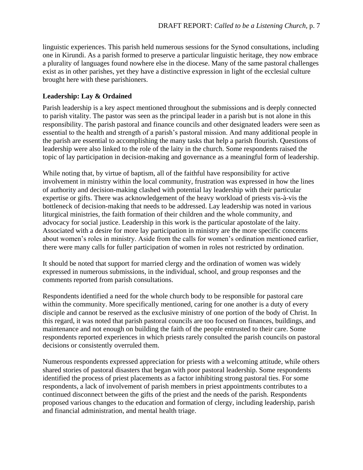linguistic experiences. This parish held numerous sessions for the Synod consultations, including one in Kirundi. As a parish formed to preserve a particular linguistic heritage, they now embrace a plurality of languages found nowhere else in the diocese. Many of the same pastoral challenges exist as in other parishes, yet they have a distinctive expression in light of the ecclesial culture brought here with these parishioners.

#### **Leadership: Lay & Ordained**

Parish leadership is a key aspect mentioned throughout the submissions and is deeply connected to parish vitality. The pastor was seen as the principal leader in a parish but is not alone in this responsibility. The parish pastoral and finance councils and other designated leaders were seen as essential to the health and strength of a parish's pastoral mission. And many additional people in the parish are essential to accomplishing the many tasks that help a parish flourish. Questions of leadership were also linked to the role of the laity in the church. Some respondents raised the topic of lay participation in decision-making and governance as a meaningful form of leadership.

While noting that, by virtue of baptism, all of the faithful have responsibility for active involvement in ministry within the local community, frustration was expressed in how the lines of authority and decision-making clashed with potential lay leadership with their particular expertise or gifts. There was acknowledgement of the heavy workload of priests vis-à-vis the bottleneck of decision-making that needs to be addressed. Lay leadership was noted in various liturgical ministries, the faith formation of their children and the whole community, and advocacy for social justice. Leadership in this work is the particular apostolate of the laity. Associated with a desire for more lay participation in ministry are the more specific concerns about women's roles in ministry. Aside from the calls for women's ordination mentioned earlier, there were many calls for fuller participation of women in roles not restricted by ordination.

It should be noted that support for married clergy and the ordination of women was widely expressed in numerous submissions, in the individual, school, and group responses and the comments reported from parish consultations.

Respondents identified a need for the whole church body to be responsible for pastoral care within the community. More specifically mentioned, caring for one another is a duty of every disciple and cannot be reserved as the exclusive ministry of one portion of the body of Christ. In this regard, it was noted that parish pastoral councils are too focused on finances, buildings, and maintenance and not enough on building the faith of the people entrusted to their care. Some respondents reported experiences in which priests rarely consulted the parish councils on pastoral decisions or consistently overruled them.

Numerous respondents expressed appreciation for priests with a welcoming attitude, while others shared stories of pastoral disasters that began with poor pastoral leadership. Some respondents identified the process of priest placements as a factor inhibiting strong pastoral ties. For some respondents, a lack of involvement of parish members in priest appointments contributes to a continued disconnect between the gifts of the priest and the needs of the parish. Respondents proposed various changes to the education and formation of clergy, including leadership, parish and financial administration, and mental health triage.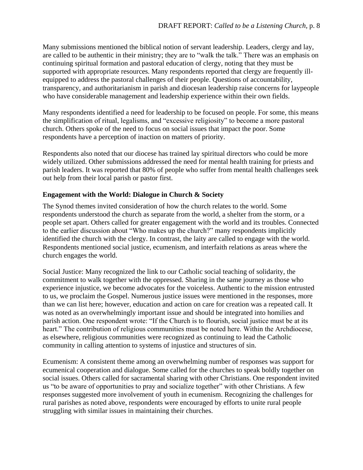Many submissions mentioned the biblical notion of servant leadership. Leaders, clergy and lay, are called to be authentic in their ministry; they are to "walk the talk." There was an emphasis on continuing spiritual formation and pastoral education of clergy, noting that they must be supported with appropriate resources. Many respondents reported that clergy are frequently illequipped to address the pastoral challenges of their people. Questions of accountability, transparency, and authoritarianism in parish and diocesan leadership raise concerns for laypeople who have considerable management and leadership experience within their own fields.

Many respondents identified a need for leadership to be focused on people. For some, this means the simplification of ritual, legalisms, and "excessive religiosity" to become a more pastoral church. Others spoke of the need to focus on social issues that impact the poor. Some respondents have a perception of inaction on matters of priority.

Respondents also noted that our diocese has trained lay spiritual directors who could be more widely utilized. Other submissions addressed the need for mental health training for priests and parish leaders. It was reported that 80% of people who suffer from mental health challenges seek out help from their local parish or pastor first.

#### **Engagement with the World: Dialogue in Church & Society**

The Synod themes invited consideration of how the church relates to the world. Some respondents understood the church as separate from the world, a shelter from the storm, or a people set apart. Others called for greater engagement with the world and its troubles. Connected to the earlier discussion about "Who makes up the church?" many respondents implicitly identified the church with the clergy. In contrast, the laity are called to engage with the world. Respondents mentioned social justice, ecumenism, and interfaith relations as areas where the church engages the world.

Social Justice: Many recognized the link to our Catholic social teaching of solidarity, the commitment to walk together with the oppressed. Sharing in the same journey as those who experience injustice, we become advocates for the voiceless. Authentic to the mission entrusted to us, we proclaim the Gospel. Numerous justice issues were mentioned in the responses, more than we can list here; however, education and action on care for creation was a repeated call. It was noted as an overwhelmingly important issue and should be integrated into homilies and parish action. One respondent wrote: "If the Church is to flourish, social justice must be at its heart." The contribution of religious communities must be noted here. Within the Archdiocese, as elsewhere, religious communities were recognized as continuing to lead the Catholic community in calling attention to systems of injustice and structures of sin.

Ecumenism: A consistent theme among an overwhelming number of responses was support for ecumenical cooperation and dialogue. Some called for the churches to speak boldly together on social issues. Others called for sacramental sharing with other Christians. One respondent invited us "to be aware of opportunities to pray and socialize together" with other Christians. A few responses suggested more involvement of youth in ecumenism. Recognizing the challenges for rural parishes as noted above, respondents were encouraged by efforts to unite rural people struggling with similar issues in maintaining their churches.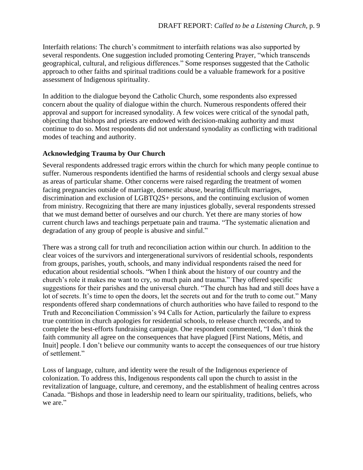Interfaith relations: The church's commitment to interfaith relations was also supported by several respondents. One suggestion included promoting Centering Prayer, "which transcends geographical, cultural, and religious differences." Some responses suggested that the Catholic approach to other faiths and spiritual traditions could be a valuable framework for a positive assessment of Indigenous spirituality.

In addition to the dialogue beyond the Catholic Church, some respondents also expressed concern about the quality of dialogue within the church. Numerous respondents offered their approval and support for increased synodality. A few voices were critical of the synodal path, objecting that bishops and priests are endowed with decision-making authority and must continue to do so. Most respondents did not understand synodality as conflicting with traditional modes of teaching and authority.

# **Acknowledging Trauma by Our Church**

Several respondents addressed tragic errors within the church for which many people continue to suffer. Numerous respondents identified the harms of residential schools and clergy sexual abuse as areas of particular shame. Other concerns were raised regarding the treatment of women facing pregnancies outside of marriage, domestic abuse, bearing difficult marriages, discrimination and exclusion of LGBTQ2S+ persons, and the continuing exclusion of women from ministry. Recognizing that there are many injustices globally, several respondents stressed that we must demand better of ourselves and our church. Yet there are many stories of how current church laws and teachings perpetuate pain and trauma. "The systematic alienation and degradation of any group of people is abusive and sinful."

There was a strong call for truth and reconciliation action within our church. In addition to the clear voices of the survivors and intergenerational survivors of residential schools, respondents from groups, parishes, youth, schools, and many individual respondents raised the need for education about residential schools. "When I think about the history of our country and the church's role it makes me want to cry, so much pain and trauma." They offered specific suggestions for their parishes and the universal church. "The church has had and still does have a lot of secrets. It's time to open the doors, let the secrets out and for the truth to come out." Many respondents offered sharp condemnations of church authorities who have failed to respond to the Truth and Reconciliation Commission's 94 Calls for Action, particularly the failure to express true contrition in church apologies for residential schools, to release church records, and to complete the best-efforts fundraising campaign. One respondent commented, "I don't think the faith community all agree on the consequences that have plagued [First Nations, Métis, and Inuit] people. I don't believe our community wants to accept the consequences of our true history of settlement."

Loss of language, culture, and identity were the result of the Indigenous experience of colonization. To address this, Indigenous respondents call upon the church to assist in the revitalization of language, culture, and ceremony, and the establishment of healing centres across Canada. "Bishops and those in leadership need to learn our spirituality, traditions, beliefs, who we are."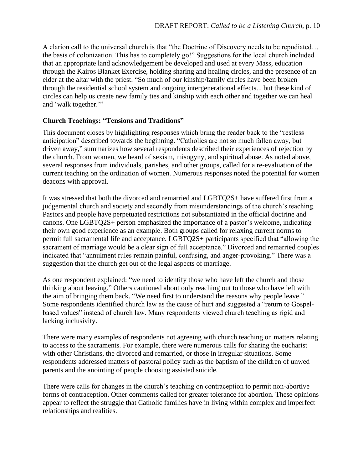A clarion call to the universal church is that "the Doctrine of Discovery needs to be repudiated… the basis of colonization. This has to completely go!" Suggestions for the local church included that an appropriate land acknowledgement be developed and used at every Mass, education through the Kairos Blanket Exercise, holding sharing and healing circles, and the presence of an elder at the altar with the priest. "So much of our kinship/family circles have been broken through the residential school system and ongoing intergenerational effects... but these kind of circles can help us create new family ties and kinship with each other and together we can heal and 'walk together.'"

## **Church Teachings: "Tensions and Traditions"**

This document closes by highlighting responses which bring the reader back to the "restless anticipation" described towards the beginning. "Catholics are not so much fallen away, but driven away," summarizes how several respondents described their experiences of rejection by the church. From women, we heard of sexism, misogyny, and spiritual abuse. As noted above, several responses from individuals, parishes, and other groups, called for a re-evaluation of the current teaching on the ordination of women. Numerous responses noted the potential for women deacons with approval.

It was stressed that both the divorced and remarried and LGBTQ2S+ have suffered first from a judgemental church and society and secondly from misunderstandings of the church's teaching. Pastors and people have perpetuated restrictions not substantiated in the official doctrine and canons. One LGBTQ2S+ person emphasized the importance of a pastor's welcome, indicating their own good experience as an example. Both groups called for relaxing current norms to permit full sacramental life and acceptance. LGBTQ2S+ participants specified that "allowing the sacrament of marriage would be a clear sign of full acceptance." Divorced and remarried couples indicated that "annulment rules remain painful, confusing, and anger-provoking." There was a suggestion that the church get out of the legal aspects of marriage.

As one respondent explained: "we need to identify those who have left the church and those thinking about leaving." Others cautioned about only reaching out to those who have left with the aim of bringing them back. "We need first to understand the reasons why people leave." Some respondents identified church law as the cause of hurt and suggested a "return to Gospelbased values" instead of church law. Many respondents viewed church teaching as rigid and lacking inclusivity.

There were many examples of respondents not agreeing with church teaching on matters relating to access to the sacraments. For example, there were numerous calls for sharing the eucharist with other Christians, the divorced and remarried, or those in irregular situations. Some respondents addressed matters of pastoral policy such as the baptism of the children of unwed parents and the anointing of people choosing assisted suicide.

There were calls for changes in the church's teaching on contraception to permit non-abortive forms of contraception. Other comments called for greater tolerance for abortion. These opinions appear to reflect the struggle that Catholic families have in living within complex and imperfect relationships and realities.